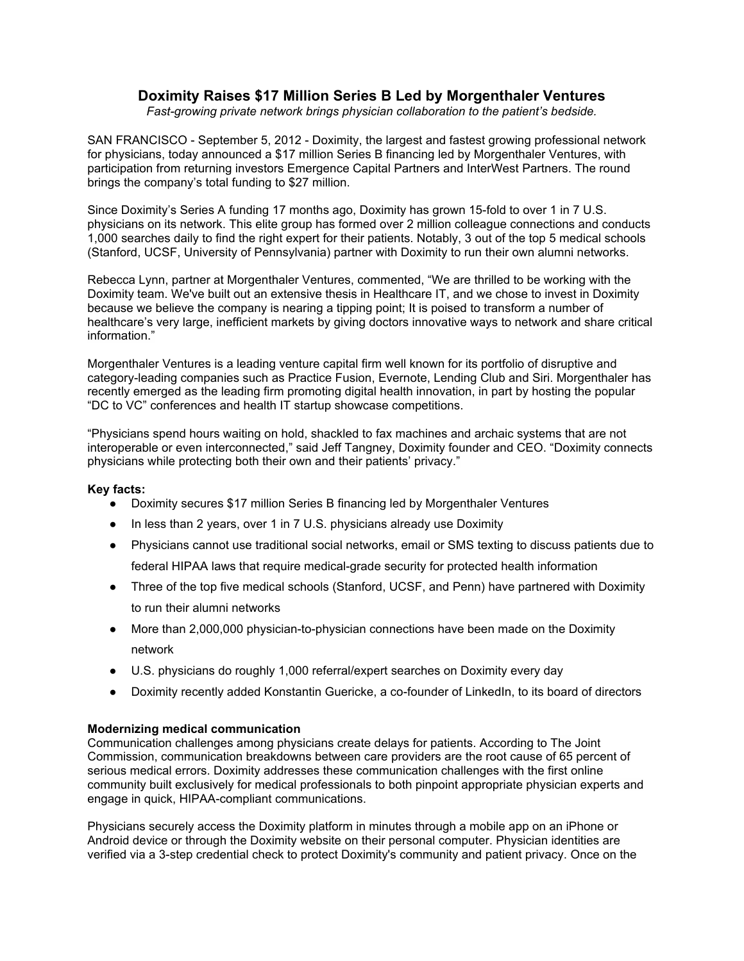# **Doximity Raises \$17 Million Series B Led by Morgenthaler Ventures**

*Fast-growing private network brings physician collaboration to the patient's bedside.* 

SAN FRANCISCO - September 5, 2012 - Doximity, the largest and fastest growing professional network for physicians, today announced a \$17 million Series B financing led by Morgenthaler Ventures, with participation from returning investors Emergence Capital Partners and InterWest Partners. The round brings the company's total funding to \$27 million.

Since Doximity's Series A funding 17 months ago, Doximity has grown 15-fold to over 1 in 7 U.S. physicians on its network. This elite group has formed over 2 million colleague connections and conducts 1,000 searches daily to find the right expert for their patients. Notably, 3 out of the top 5 medical schools (Stanford, UCSF, University of Pennsylvania) partner with Doximity to run their own alumni networks.

Rebecca Lynn, partner at Morgenthaler Ventures, commented, "We are thrilled to be working with the Doximity team. We've built out an extensive thesis in Healthcare IT, and we chose to invest in Doximity because we believe the company is nearing a tipping point; It is poised to transform a number of healthcare's very large, inefficient markets by giving doctors innovative ways to network and share critical information."

Morgenthaler Ventures is a leading venture capital firm well known for its portfolio of disruptive and category-leading companies such as Practice Fusion, Evernote, Lending Club and Siri. Morgenthaler has recently emerged as the leading firm promoting digital health innovation, in part by hosting the popular "DC to VC" conferences and health IT startup showcase competitions.

"Physicians spend hours waiting on hold, shackled to fax machines and archaic systems that are not interoperable or even interconnected," said Jeff Tangney, Doximity founder and CEO. "Doximity connects physicians while protecting both their own and their patients' privacy."

## **Key facts:**

- Doximity secures \$17 million Series B financing led by Morgenthaler Ventures
- In less than 2 years, over 1 in 7 U.S. physicians already use Doximity
- Physicians cannot use traditional social networks, email or SMS texting to discuss patients due to federal HIPAA laws that require medical-grade security for protected health information
- Three of the top five medical schools (Stanford, UCSF, and Penn) have partnered with Doximity to run their alumni networks
- More than 2,000,000 physician-to-physician connections have been made on the Doximity network
- U.S. physicians do roughly 1,000 referral/expert searches on Doximity every day
- Doximity recently added Konstantin Guericke, a co-founder of LinkedIn, to its board of directors

## **Modernizing medical communication**

Communication challenges among physicians create delays for patients. According to The Joint Commission, communication breakdowns between care providers are the root cause of 65 percent of serious medical errors. Doximity addresses these communication challenges with the first online community built exclusively for medical professionals to both pinpoint appropriate physician experts and engage in quick, HIPAA-compliant communications.

Physicians securely access the Doximity platform in minutes through a mobile app on an iPhone or Android device or through the Doximity website on their personal computer. Physician identities are verified via a 3-step credential check to protect Doximity's community and patient privacy. Once on the